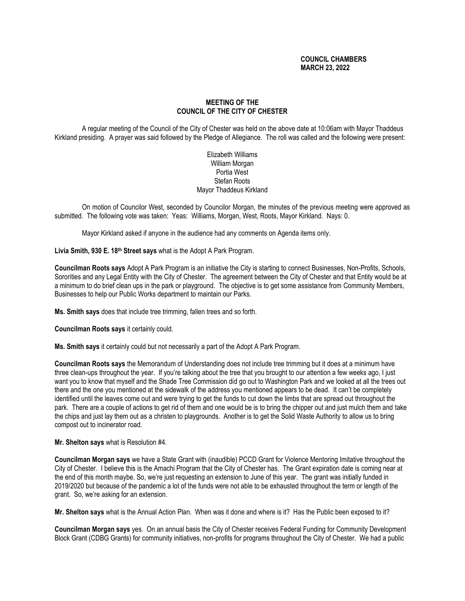# **COUNCIL CHAMBERS MARCH 23, 2022**

# **MEETING OF THE COUNCIL OF THE CITY OF CHESTER**

A regular meeting of the Council of the City of Chester was held on the above date at 10:06am with Mayor Thaddeus Kirkland presiding. A prayer was said followed by the Pledge of Allegiance. The roll was called and the following were present:

> Elizabeth Williams William Morgan Portia West Stefan Roots Mayor Thaddeus Kirkland

On motion of Councilor West, seconded by Councilor Morgan, the minutes of the previous meeting were approved as submitted. The following vote was taken: Yeas: Williams, Morgan, West, Roots, Mayor Kirkland. Nays: 0.

Mayor Kirkland asked if anyone in the audience had any comments on Agenda items only.

**Livia Smith, 930 E. 18th Street says** what is the Adopt A Park Program.

**Councilman Roots says** Adopt A Park Program is an initiative the City is starting to connect Businesses, Non-Profits, Schools, Sororities and any Legal Entity with the City of Chester. The agreement between the City of Chester and that Entity would be at a minimum to do brief clean ups in the park or playground. The objective is to get some assistance from Community Members, Businesses to help our Public Works department to maintain our Parks.

**Ms. Smith says** does that include tree trimming, fallen trees and so forth.

**Councilman Roots says** it certainly could.

**Ms. Smith says** it certainly could but not necessarily a part of the Adopt A Park Program.

**Councilman Roots says** the Memorandum of Understanding does not include tree trimming but it does at a minimum have three clean-ups throughout the year. If you're talking about the tree that you brought to our attention a few weeks ago, I just want you to know that myself and the Shade Tree Commission did go out to Washington Park and we looked at all the trees out there and the one you mentioned at the sidewalk of the address you mentioned appears to be dead. It can't be completely identified until the leaves come out and were trying to get the funds to cut down the limbs that are spread out throughout the park. There are a couple of actions to get rid of them and one would be is to bring the chipper out and just mulch them and take the chips and just lay them out as a christen to playgrounds. Another is to get the Solid Waste Authority to allow us to bring compost out to incinerator road.

**Mr. Shelton says** what is Resolution #4.

**Councilman Morgan says** we have a State Grant with (inaudible) PCCD Grant for Violence Mentoring Imitative throughout the City of Chester. I believe this is the Amachi Program that the City of Chester has. The Grant expiration date is coming near at the end of this month maybe. So, we're just requesting an extension to June of this year. The grant was initially funded in 2019/2020 but because of the pandemic a lot of the funds were not able to be exhausted throughout the term or length of the grant. So, we're asking for an extension.

**Mr. Shelton says** what is the Annual Action Plan. When was it done and where is it? Has the Public been exposed to it?

**Councilman Morgan says** yes. On an annual basis the City of Chester receives Federal Funding for Community Development Block Grant (CDBG Grants) for community initiatives, non-profits for programs throughout the City of Chester. We had a public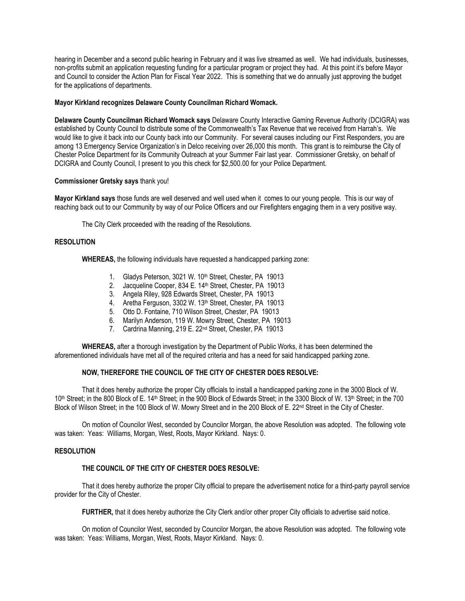hearing in December and a second public hearing in February and it was live streamed as well. We had individuals, businesses, non-profits submit an application requesting funding for a particular program or project they had. At this point it's before Mayor and Council to consider the Action Plan for Fiscal Year 2022. This is something that we do annually just approving the budget for the applications of departments.

## **Mayor Kirkland recognizes Delaware County Councilman Richard Womack.**

**Delaware County Councilman Richard Womack says** Delaware County Interactive Gaming Revenue Authority (DCIGRA) was established by County Council to distribute some of the Commonwealth's Tax Revenue that we received from Harrah's. We would like to give it back into our County back into our Community. For several causes including our First Responders, you are among 13 Emergency Service Organization's in Delco receiving over 26,000 this month. This grant is to reimburse the City of Chester Police Department for its Community Outreach at your Summer Fair last year. Commissioner Gretsky, on behalf of DCIGRA and County Council, I present to you this check for \$2,500.00 for your Police Department.

## **Commissioner Gretsky says** thank you!

**Mayor Kirkland says** those funds are well deserved and well used when it comes to our young people. This is our way of reaching back out to our Community by way of our Police Officers and our Firefighters engaging them in a very positive way.

The City Clerk proceeded with the reading of the Resolutions.

## **RESOLUTION**

**WHEREAS,** the following individuals have requested a handicapped parking zone:

- 1. Gladys Peterson, 3021 W. 10<sup>th</sup> Street, Chester, PA 19013
- 2. Jacqueline Cooper, 834 E. 14<sup>th</sup> Street, Chester, PA 19013
- 3. Angela Riley, 928 Edwards Street, Chester, PA 19013
- 4. Aretha Ferguson, 3302 W. 13<sup>th</sup> Street, Chester, PA 19013
- 5. Otto D. Fontaine, 710 Wilson Street, Chester, PA 19013
- 6. Marilyn Anderson, 119 W. Mowry Street, Chester, PA 19013
- 7. Cardrina Manning, 219 E. 22nd Street, Chester, PA 19013

**WHEREAS,** after a thorough investigation by the Department of Public Works, it has been determined the aforementioned individuals have met all of the required criteria and has a need for said handicapped parking zone.

# **NOW, THEREFORE THE COUNCIL OF THE CITY OF CHESTER DOES RESOLVE:**

That it does hereby authorize the proper City officials to install a handicapped parking zone in the 3000 Block of W. 10<sup>th</sup> Street; in the 800 Block of E. 14<sup>th</sup> Street; in the 900 Block of Edwards Street; in the 3300 Block of W. 13<sup>th</sup> Street; in the 700 Block of Wilson Street; in the 100 Block of W. Mowry Street and in the 200 Block of E. 22<sup>nd</sup> Street in the City of Chester.

On motion of Councilor West, seconded by Councilor Morgan, the above Resolution was adopted. The following vote was taken: Yeas: Williams, Morgan, West, Roots, Mayor Kirkland. Nays: 0.

#### **RESOLUTION**

# **THE COUNCIL OF THE CITY OF CHESTER DOES RESOLVE:**

That it does hereby authorize the proper City official to prepare the advertisement notice for a third-party payroll service provider for the City of Chester.

**FURTHER,** that it does hereby authorize the City Clerk and/or other proper City officials to advertise said notice.

On motion of Councilor West, seconded by Councilor Morgan, the above Resolution was adopted. The following vote was taken: Yeas: Williams, Morgan, West, Roots, Mayor Kirkland. Nays: 0.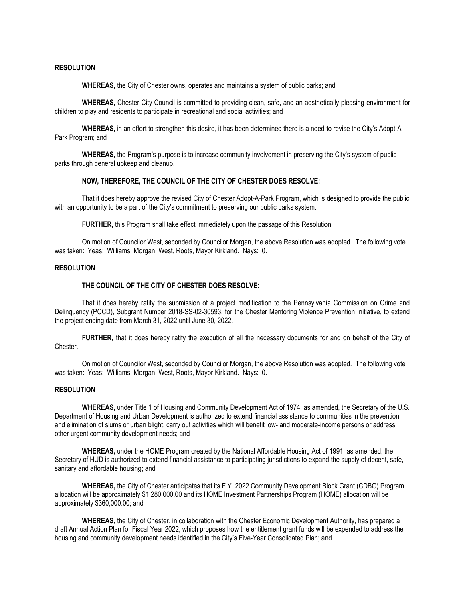#### **RESOLUTION**

**WHEREAS,** the City of Chester owns, operates and maintains a system of public parks; and

**WHEREAS,** Chester City Council is committed to providing clean, safe, and an aesthetically pleasing environment for children to play and residents to participate in recreational and social activities; and

**WHEREAS,** in an effort to strengthen this desire, it has been determined there is a need to revise the City's Adopt-A-Park Program; and

**WHEREAS,** the Program's purpose is to increase community involvement in preserving the City's system of public parks through general upkeep and cleanup.

#### **NOW, THEREFORE, THE COUNCIL OF THE CITY OF CHESTER DOES RESOLVE:**

That it does hereby approve the revised City of Chester Adopt-A-Park Program, which is designed to provide the public with an opportunity to be a part of the City's commitment to preserving our public parks system.

**FURTHER,** this Program shall take effect immediately upon the passage of this Resolution.

On motion of Councilor West, seconded by Councilor Morgan, the above Resolution was adopted. The following vote was taken: Yeas: Williams, Morgan, West, Roots, Mayor Kirkland. Nays: 0.

#### **RESOLUTION**

# **THE COUNCIL OF THE CITY OF CHESTER DOES RESOLVE:**

That it does hereby ratify the submission of a project modification to the Pennsylvania Commission on Crime and Delinquency (PCCD), Subgrant Number 2018-SS-02-30593, for the Chester Mentoring Violence Prevention Initiative, to extend the project ending date from March 31, 2022 until June 30, 2022.

**FURTHER,** that it does hereby ratify the execution of all the necessary documents for and on behalf of the City of Chester.

On motion of Councilor West, seconded by Councilor Morgan, the above Resolution was adopted. The following vote was taken: Yeas: Williams, Morgan, West, Roots, Mayor Kirkland. Nays: 0.

## **RESOLUTION**

**WHEREAS,** under Title 1 of Housing and Community Development Act of 1974, as amended, the Secretary of the U.S. Department of Housing and Urban Development is authorized to extend financial assistance to communities in the prevention and elimination of slums or urban blight, carry out activities which will benefit low- and moderate-income persons or address other urgent community development needs; and

**WHEREAS,** under the HOME Program created by the National Affordable Housing Act of 1991, as amended, the Secretary of HUD is authorized to extend financial assistance to participating jurisdictions to expand the supply of decent, safe, sanitary and affordable housing; and

**WHEREAS,** the City of Chester anticipates that its F.Y. 2022 Community Development Block Grant (CDBG) Program allocation will be approximately \$1,280,000.00 and its HOME Investment Partnerships Program (HOME) allocation will be approximately \$360,000.00; and

**WHEREAS,** the City of Chester, in collaboration with the Chester Economic Development Authority, has prepared a draft Annual Action Plan for Fiscal Year 2022, which proposes how the entitlement grant funds will be expended to address the housing and community development needs identified in the City's Five-Year Consolidated Plan; and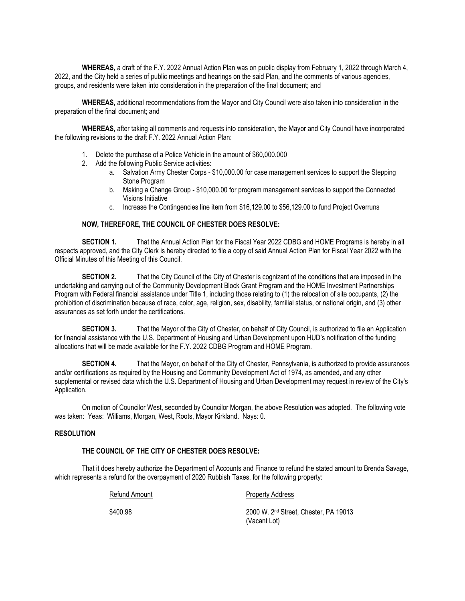**WHEREAS,** a draft of the F.Y. 2022 Annual Action Plan was on public display from February 1, 2022 through March 4, 2022, and the City held a series of public meetings and hearings on the said Plan, and the comments of various agencies, groups, and residents were taken into consideration in the preparation of the final document; and

**WHEREAS,** additional recommendations from the Mayor and City Council were also taken into consideration in the preparation of the final document; and

**WHEREAS,** after taking all comments and requests into consideration, the Mayor and City Council have incorporated the following revisions to the draft F.Y. 2022 Annual Action Plan:

- 1. Delete the purchase of a Police Vehicle in the amount of \$60,000.000
- 2. Add the following Public Service activities:
	- a. Salvation Army Chester Corps \$10,000.00 for case management services to support the Stepping Stone Program
	- b. Making a Change Group \$10,000.00 for program management services to support the Connected Visions Initiative
	- c. Increase the Contingencies line item from \$16,129.00 to \$56,129.00 to fund Project Overruns

#### **NOW, THEREFORE, THE COUNCIL OF CHESTER DOES RESOLVE:**

**SECTION 1.** That the Annual Action Plan for the Fiscal Year 2022 CDBG and HOME Programs is hereby in all respects approved, and the City Clerk is hereby directed to file a copy of said Annual Action Plan for Fiscal Year 2022 with the Official Minutes of this Meeting of this Council.

**SECTION 2.** That the City Council of the City of Chester is cognizant of the conditions that are imposed in the undertaking and carrying out of the Community Development Block Grant Program and the HOME Investment Partnerships Program with Federal financial assistance under Title 1, including those relating to (1) the relocation of site occupants, (2) the prohibition of discrimination because of race, color, age, religion, sex, disability, familial status, or national origin, and (3) other assurances as set forth under the certifications.

**SECTION 3.** That the Mayor of the City of Chester, on behalf of City Council, is authorized to file an Application for financial assistance with the U.S. Department of Housing and Urban Development upon HUD's notification of the funding allocations that will be made available for the F.Y. 2022 CDBG Program and HOME Program.

**SECTION 4.** That the Mayor, on behalf of the City of Chester, Pennsylvania, is authorized to provide assurances and/or certifications as required by the Housing and Community Development Act of 1974, as amended, and any other supplemental or revised data which the U.S. Department of Housing and Urban Development may request in review of the City's Application.

On motion of Councilor West, seconded by Councilor Morgan, the above Resolution was adopted. The following vote was taken: Yeas: Williams, Morgan, West, Roots, Mayor Kirkland. Nays: 0.

#### **RESOLUTION**

# **THE COUNCIL OF THE CITY OF CHESTER DOES RESOLVE:**

That it does hereby authorize the Department of Accounts and Finance to refund the stated amount to Brenda Savage, which represents a refund for the overpayment of 2020 Rubbish Taxes, for the following property:

Refund Amount **Property Address** 

\$400.98 2000 W. 2nd Street, Chester, PA 19013 (Vacant Lot)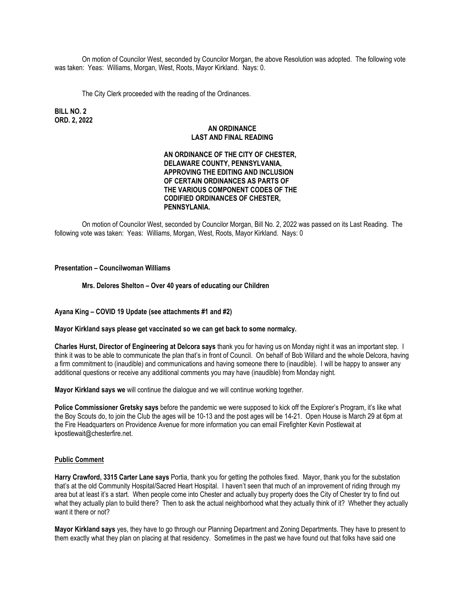On motion of Councilor West, seconded by Councilor Morgan, the above Resolution was adopted. The following vote was taken: Yeas: Williams, Morgan, West, Roots, Mayor Kirkland. Nays: 0.

The City Clerk proceeded with the reading of the Ordinances.

**BILL NO. 2 ORD. 2, 2022**

#### **AN ORDINANCE LAST AND FINAL READING**

# **AN ORDINANCE OF THE CITY OF CHESTER, DELAWARE COUNTY, PENNSYLVANIA, APPROVING THE EDITING AND INCLUSION OF CERTAIN ORDINANCES AS PARTS OF THE VARIOUS COMPONENT CODES OF THE CODIFIED ORDINANCES OF CHESTER, PENNSYLANIA.**

On motion of Councilor West, seconded by Councilor Morgan, Bill No. 2, 2022 was passed on its Last Reading. The following vote was taken: Yeas: Williams, Morgan, West, Roots, Mayor Kirkland. Nays: 0

## **Presentation – Councilwoman Williams**

**Mrs. Delores Shelton – Over 40 years of educating our Children**

**Ayana King – COVID 19 Update (see attachments #1 and #2)**

**Mayor Kirkland says please get vaccinated so we can get back to some normalcy.**

**Charles Hurst, Director of Engineering at Delcora says** thank you for having us on Monday night it was an important step. I think it was to be able to communicate the plan that's in front of Council. On behalf of Bob Willard and the whole Delcora, having a firm commitment to (inaudible) and communications and having someone there to (inaudible). I will be happy to answer any additional questions or receive any additional comments you may have (inaudible) from Monday night.

**Mayor Kirkland says we** will continue the dialogue and we will continue working together.

**Police Commissioner Gretsky says** before the pandemic we were supposed to kick off the Explorer's Program, it's like what the Boy Scouts do, to join the Club the ages will be 10-13 and the post ages will be 14-21. Open House is March 29 at 6pm at the Fire Headquarters on Providence Avenue for more information you can email Firefighter Kevin Postlewait at kpostlewait@chesterfire.net.

#### **Public Comment**

**Harry Crawford, 3315 Carter Lane says** Portia, thank you for getting the potholes fixed. Mayor, thank you for the substation that's at the old Community Hospital/Sacred Heart Hospital. I haven't seen that much of an improvement of riding through my area but at least it's a start. When people come into Chester and actually buy property does the City of Chester try to find out what they actually plan to build there? Then to ask the actual neighborhood what they actually think of it? Whether they actually want it there or not?

**Mayor Kirkland says** yes, they have to go through our Planning Department and Zoning Departments. They have to present to them exactly what they plan on placing at that residency. Sometimes in the past we have found out that folks have said one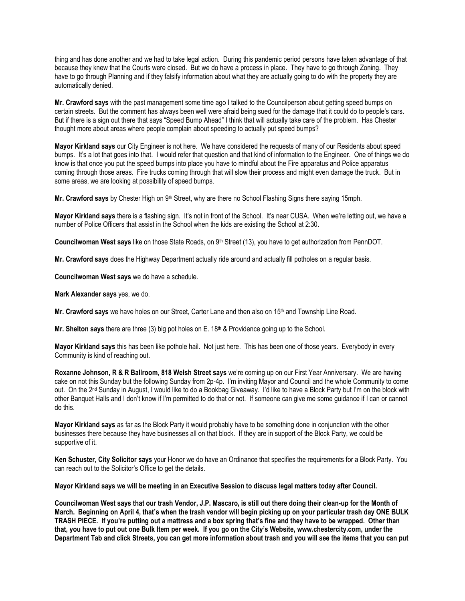thing and has done another and we had to take legal action. During this pandemic period persons have taken advantage of that because they knew that the Courts were closed. But we do have a process in place. They have to go through Zoning. They have to go through Planning and if they falsify information about what they are actually going to do with the property they are automatically denied.

**Mr. Crawford says** with the past management some time ago I talked to the Councilperson about getting speed bumps on certain streets. But the comment has always been well were afraid being sued for the damage that it could do to people's cars. But if there is a sign out there that says "Speed Bump Ahead" I think that will actually take care of the problem. Has Chester thought more about areas where people complain about speeding to actually put speed bumps?

**Mayor Kirkland says** our City Engineer is not here. We have considered the requests of many of our Residents about speed bumps. It's a lot that goes into that. I would refer that question and that kind of information to the Engineer. One of things we do know is that once you put the speed bumps into place you have to mindful about the Fire apparatus and Police apparatus coming through those areas. Fire trucks coming through that will slow their process and might even damage the truck. But in some areas, we are looking at possibility of speed bumps.

**Mr. Crawford says** by Chester High on 9<sup>th</sup> Street, why are there no School Flashing Signs there saying 15mph.

**Mayor Kirkland says** there is a flashing sign. It's not in front of the School. It's near CUSA. When we're letting out, we have a number of Police Officers that assist in the School when the kids are existing the School at 2:30.

**Councilwoman West says** like on those State Roads, on 9th Street (13), you have to get authorization from PennDOT.

**Mr. Crawford says** does the Highway Department actually ride around and actually fill potholes on a regular basis.

**Councilwoman West says** we do have a schedule.

**Mark Alexander says** yes, we do.

**Mr. Crawford says** we have holes on our Street, Carter Lane and then also on 15th and Township Line Road.

Mr. Shelton says there are three (3) big pot holes on E. 18<sup>th</sup> & Providence going up to the School.

**Mayor Kirkland says** this has been like pothole hail. Not just here. This has been one of those years. Everybody in every Community is kind of reaching out.

**Roxanne Johnson, R & R Ballroom, 818 Welsh Street says** we're coming up on our First Year Anniversary. We are having cake on not this Sunday but the following Sunday from 2p-4p. I'm inviting Mayor and Council and the whole Community to come out. On the 2nd Sunday in August, I would like to do a Bookbag Giveaway. I'd like to have a Block Party but I'm on the block with other Banquet Halls and I don't know if I'm permitted to do that or not. If someone can give me some guidance if I can or cannot do this.

**Mayor Kirkland says** as far as the Block Party it would probably have to be something done in conjunction with the other businesses there because they have businesses all on that block. If they are in support of the Block Party, we could be supportive of it.

**Ken Schuster, City Solicitor says** your Honor we do have an Ordinance that specifies the requirements for a Block Party. You can reach out to the Solicitor's Office to get the details.

#### **Mayor Kirkland says we will be meeting in an Executive Session to discuss legal matters today after Council.**

**Councilwoman West says that our trash Vendor, J.P. Mascaro, is still out there doing their clean-up for the Month of March. Beginning on April 4, that's when the trash vendor will begin picking up on your particular trash day ONE BULK TRASH PIECE. If you're putting out a mattress and a box spring that's fine and they have to be wrapped. Other than that, you have to put out one Bulk Item per week. If you go on the City's Website, www.chestercity.com, under the Department Tab and click Streets, you can get more information about trash and you will see the items that you can put**